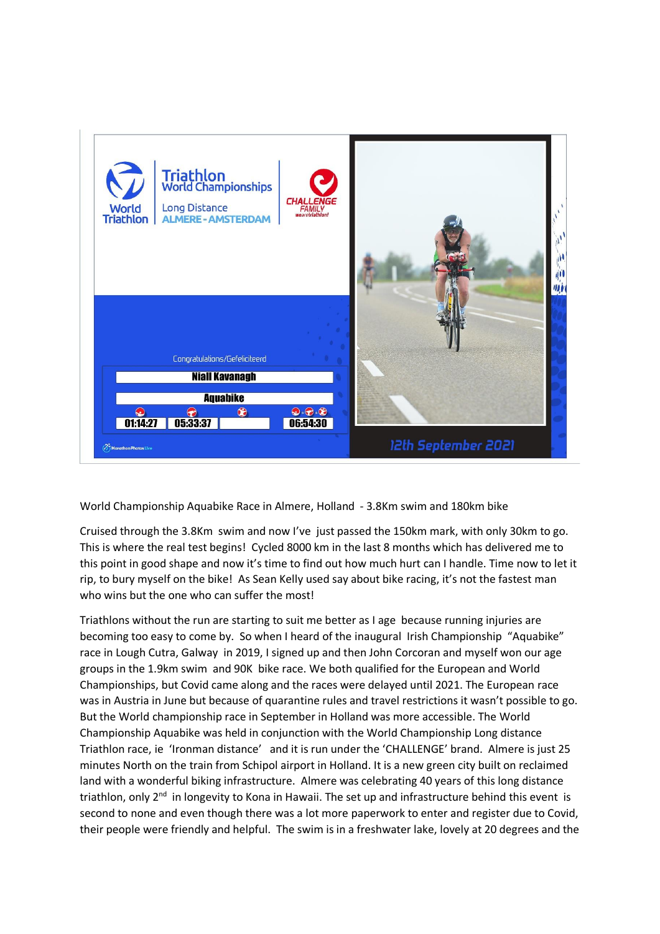

World Championship Aquabike Race in Almere, Holland - 3.8Km swim and 180km bike

Cruised through the 3.8Km swim and now I've just passed the 150km mark, with only 30km to go. This is where the real test begins! Cycled 8000 km in the last 8 months which has delivered me to this point in good shape and now it's time to find out how much hurt can I handle. Time now to let it rip, to bury myself on the bike! As Sean Kelly used say about bike racing, it's not the fastest man who wins but the one who can suffer the mostl

Triathlons without the run are starting to suit me better as I age because running injuries are becoming too easy to come by. So when I heard of the inaugural Irish Championship "Aquabike" race in Lough Cutra, Galway in 2019, I signed up and then John Corcoran and myself won our age groups in the 1.9km swim and 90K bike race. We both qualified for the European and World Championships, but Covid came along and the races were delayed until 2021. The European race was in Austria in June but because of quarantine rules and travel restrictions it wasn't possible to go. But the World championship race in September in Holland was more accessible. The World Championship Aquabike was held in conjunction with the World Championship Long distance Triathlon race, ie 'Ironman distance' and it is run under the 'CHALLENGE' brand. Almere is just 25 minutes North on the train from Schipol airport in Holland. It is a new green city built on reclaimed land with a wonderful biking infrastructure. Almere was celebrating 40 years of this long distance triathlon, only 2<sup>nd</sup> in longevity to Kona in Hawaii. The set up and infrastructure behind this event is second to none and even though there was a lot more paperwork to enter and register due to Covid, their people were friendly and helpful. The swim is in a freshwater lake, lovely at 20 degrees and the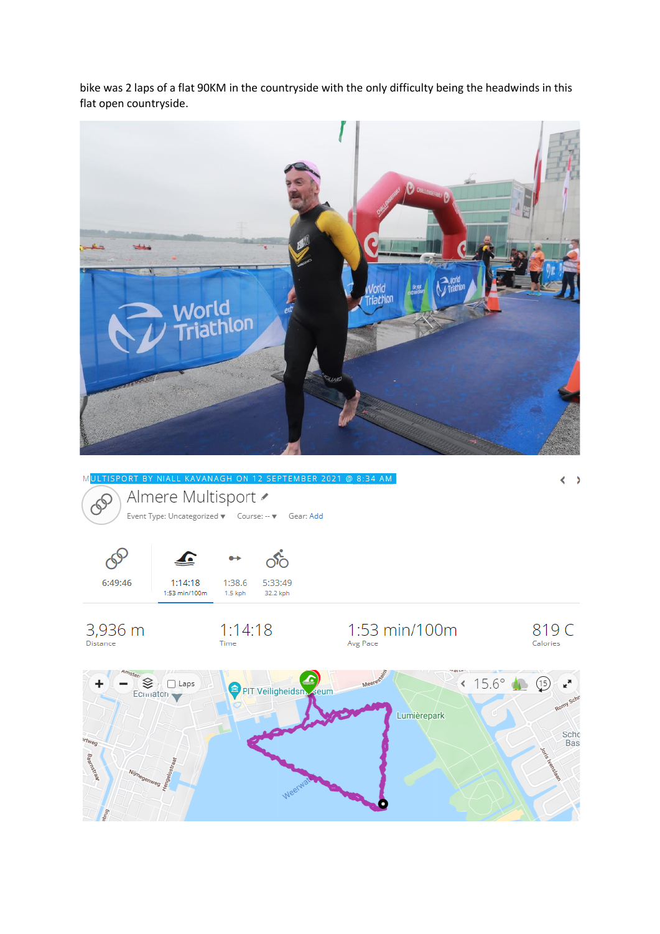bike was 2 laps of a flat 90KM in the countryside with the only difficulty being the headwinds in this flat open countryside.



 $\leftrightarrow$ 

**MULTIS** ANAGH ON 12 SEPTEMBER 2021 @ 8:34 AM

## Almere Multisport

Event Type: Uncategorized v Course: -- v Gear: Add



3,936 m  $1:14:18$ 1:53 min/100m 819 C Avg Pace Calories Time  $\cdot$  15.6° Տ  $\Box$  Laps  $(15)$ ٠  $1801$ **PIT Veiligheidsr** 偭 Ecimator Lumièrepark Scho Basi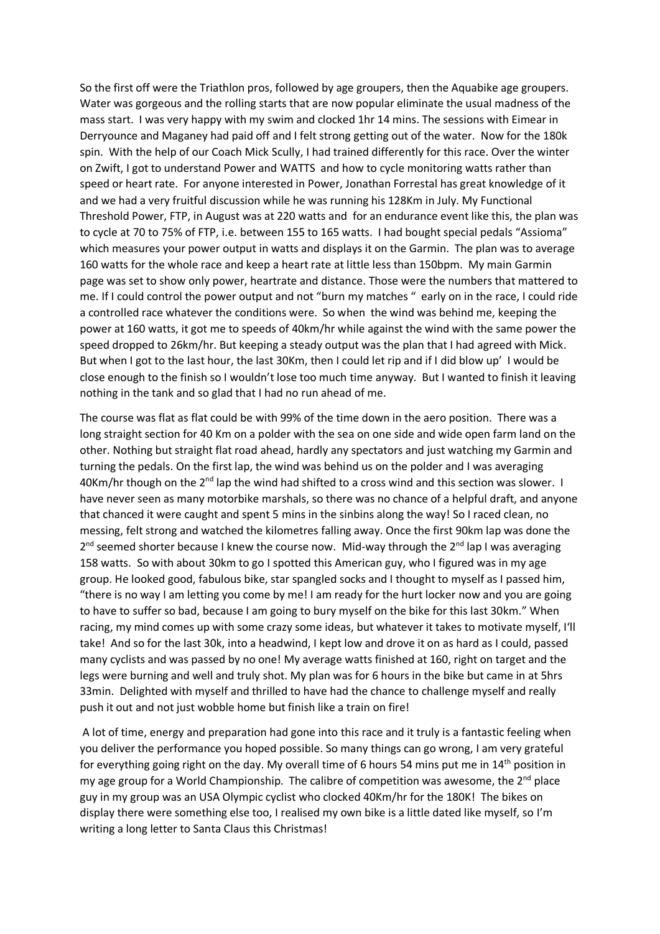So the first off were the Triathlon pros, followed by age groupers, then the Aquabike age groupers. Water was gorgeous and the rolling starts that are now popular eliminate the usual madness of the mass start. I was very happy with my swim and clocked 1hr 14 mins. The sessions with Eimear in Derryounce and Maganey had paid off and I felt strong getting out of the water. Now for the 180k spin. With the help of our Coach Mick Scully, I had trained differently for this race. Over the winter on Zwift, I got to understand Power and WATTS and how to cycle monitoring watts rather than speed or heart rate. For anyone interested in Power, Jonathan Forrestal has great knowledge of it and we had a very fruitful discussion while he was running his 128Km in July. My Functional Threshold Power, FTP, in August was at 220 watts and for an endurance event like this, the plan was to cycle at 70 to 75% of FTP, i.e. between 155 to 165 watts. I had bought special pedals "Assioma" which measures your power output in watts and displays it on the Garmin. The plan was to average 160 watts for the whole race and keep a heart rate at little less than 150bpm. My main Garmin page was set to show only power, heartrate and distance. Those were the numbers that mattered to me. If I could control the power output and not "burn my matches " early on in the race, I could ride a controlled race whatever the conditions were. So when the wind was behind me, keeping the power at 160 watts, it got me to speeds of 40km/hr while against the wind with the same power the speed dropped to 26km/hr. But keeping a steady output was the plan that I had agreed with Mick. But when I got to the last hour, the last 30Km, then I could let rip and if I did blow up' I would be close enough to the finish so I wouldn't lose too much time anyway. But I wanted to finish it leaving nothing in the tank and so glad that I had no run ahead of me.

The course was flat as flat could be with 99% of the time down in the aero position. There was a long straight section for 40 Km on a polder with the sea on one side and wide open farm land on the other. Nothing but straight flat road ahead, hardly any spectators and just watching my Garmin and turning the pedals. On the first lap, the wind was behind us on the polder and I was averaging 40Km/hr though on the 2<sup>nd</sup> lap the wind had shifted to a cross wind and this section was slower. I have never seen as many motorbike marshals, so there was no chance of a helpful draft, and anyone that chanced it were caught and spent 5 mins in the sinbins along the way! So I raced clean, no messing, felt strong and watched the kilometres falling away. Once the first 90km lap was done the 2<sup>nd</sup> seemed shorter because I knew the course now. Mid-way through the 2<sup>nd</sup> lap I was averaging 158 watts. So with about 30km to go I spotted this American guy, who I figured was in my age group. He looked good, fabulous bike, star spangled socks and I thought to myself as I passed him, "there is no way I am letting you come by me! I am ready for the hurt locker now and you are going to have to suffer so bad, because I am going to bury myself on the bike for this last 30km." When racing, my mind comes up with some crazy some ideas, but whatever it takes to motivate myself, I'll take! And so for the last 30k, into a headwind, I kept low and drove it on as hard as I could, passed many cyclists and was passed by no one! My average watts finished at 160, right on target and the legs were burning and well and truly shot. My plan was for 6 hours in the bike but came in at 5hrs 33min. Delighted with myself and thrilled to have had the chance to challenge myself and really push it out and not just wobble home but finish like a train on fire!

A lot of time, energy and preparation had gone into this race and it truly is a fantastic feeling when you deliver the performance you hoped possible. So many things can go wrong, I am very grateful for everything going right on the day. My overall time of 6 hours 54 mins put me in 14<sup>th</sup> position in my age group for a World Championship. The calibre of competition was awesome, the 2<sup>nd</sup> place guy in my group was an USA Olympic cyclist who clocked 40Km/hr for the 180K! The bikes on display there were something else too, I realised my own bike is a little dated like myself, so I'm writing a long letter to Santa Claus this Christmas!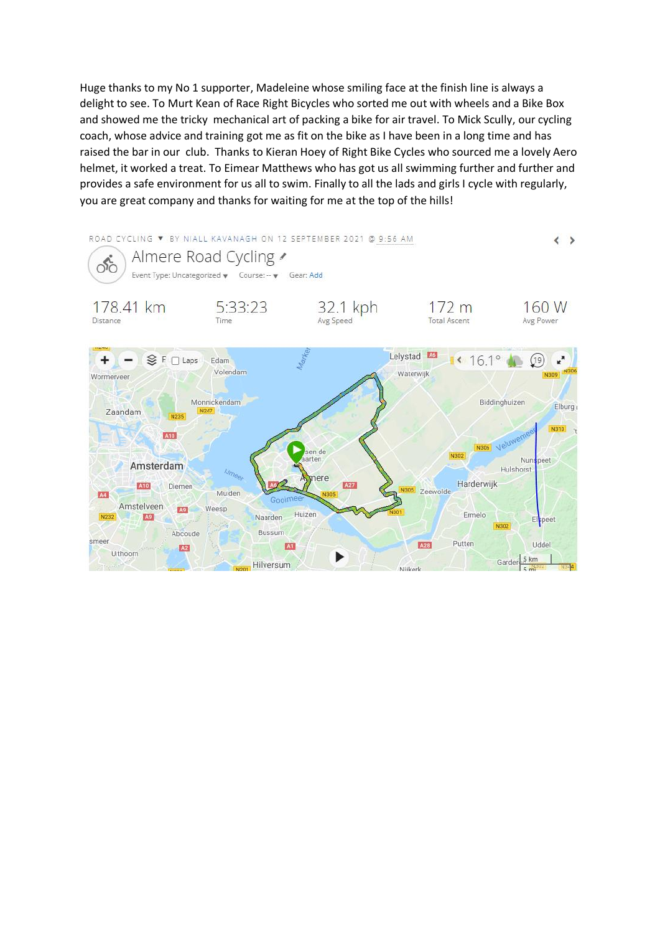Huge thanks to my No 1 supporter, Madeleine whose smiling face at the finish line is always a delight to see. To Murt Kean of Race Right Bicycles who sorted me out with wheels and a Bike Box and showed me the tricky mechanical art of packing a bike for air travel. To Mick Scully, our cycling coach, whose advice and training got me as fit on the bike as I have been in a long time and has raised the bar in our club. Thanks to Kieran Hoey of Right Bike Cycles who sourced me a lovely Aero helmet, it worked a treat. To Eimear Matthews who has got us all swimming further and further and provides a safe environment for us all to swim. Finally to all the lads and girls I cycle with regularly, you are great company and thanks for waiting for me at the top of the hills!

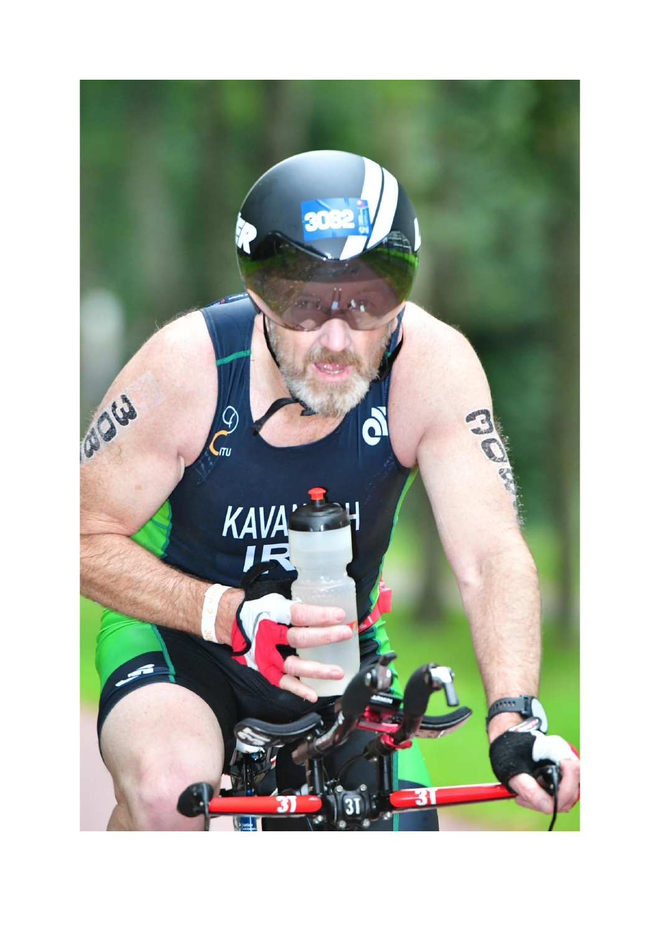